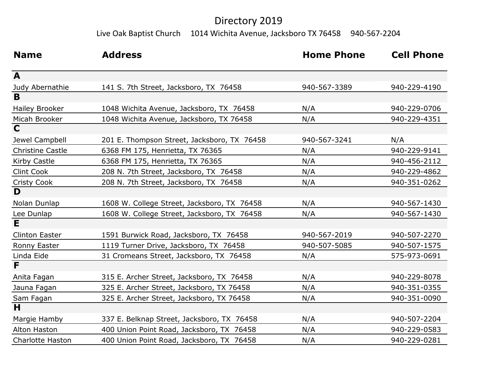## Directory 2019

Live Oak Baptist Church 1014 Wichita Avenue, Jacksboro TX 76458 940-567-2204

| <b>Name</b>             | <b>Address</b>                              | <b>Home Phone</b> | <b>Cell Phone</b> |
|-------------------------|---------------------------------------------|-------------------|-------------------|
| A                       |                                             |                   |                   |
| Judy Abernathie         | 141 S. 7th Street, Jacksboro, TX 76458      | 940-567-3389      | 940-229-4190      |
| $\overline{B}$          |                                             |                   |                   |
| <b>Hailey Brooker</b>   | 1048 Wichita Avenue, Jacksboro, TX 76458    | N/A               | 940-229-0706      |
| Micah Brooker           | 1048 Wichita Avenue, Jacksboro, TX 76458    | N/A               | 940-229-4351      |
| $\overline{\mathbf{C}}$ |                                             |                   |                   |
| Jewel Campbell          | 201 E. Thompson Street, Jacksboro, TX 76458 | 940-567-3241      | N/A               |
| <b>Christine Castle</b> | 6368 FM 175, Henrietta, TX 76365            | N/A               | 940-229-9141      |
| Kirby Castle            | 6368 FM 175, Henrietta, TX 76365            | N/A               | 940-456-2112      |
| <b>Clint Cook</b>       | 208 N. 7th Street, Jacksboro, TX 76458      | N/A               | 940-229-4862      |
| Cristy Cook             | 208 N. 7th Street, Jacksboro, TX 76458      | N/A               | 940-351-0262      |
| D                       |                                             |                   |                   |
| Nolan Dunlap            | 1608 W. College Street, Jacksboro, TX 76458 | N/A               | 940-567-1430      |
| Lee Dunlap              | 1608 W. College Street, Jacksboro, TX 76458 | N/A               | 940-567-1430      |
| $\overline{\mathsf{E}}$ |                                             |                   |                   |
| <b>Clinton Easter</b>   | 1591 Burwick Road, Jacksboro, TX 76458      | 940-567-2019      | 940-507-2270      |
| <b>Ronny Easter</b>     | 1119 Turner Drive, Jacksboro, TX 76458      | 940-507-5085      | 940-507-1575      |
| Linda Eide              | 31 Cromeans Street, Jacksboro, TX 76458     | N/A               | 575-973-0691      |
| F                       |                                             |                   |                   |
| Anita Fagan             | 315 E. Archer Street, Jacksboro, TX 76458   | N/A               | 940-229-8078      |
| Jauna Fagan             | 325 E. Archer Street, Jacksboro, TX 76458   | N/A               | 940-351-0355      |
| Sam Fagan               | 325 E. Archer Street, Jacksboro, TX 76458   | N/A               | 940-351-0090      |
| H                       |                                             |                   |                   |
| Margie Hamby            | 337 E. Belknap Street, Jacksboro, TX 76458  | N/A               | 940-507-2204      |
| Alton Haston            | 400 Union Point Road, Jacksboro, TX 76458   | N/A               | 940-229-0583      |
| <b>Charlotte Haston</b> | 400 Union Point Road, Jacksboro, TX 76458   | N/A               | 940-229-0281      |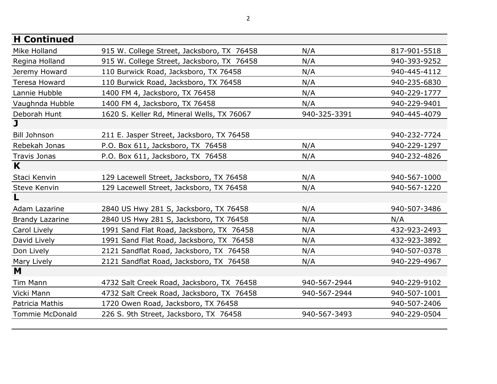| <b>H</b> Continued      |                                            |              |              |
|-------------------------|--------------------------------------------|--------------|--------------|
| Mike Holland            | 915 W. College Street, Jacksboro, TX 76458 | N/A          | 817-901-5518 |
| Regina Holland          | 915 W. College Street, Jacksboro, TX 76458 | N/A          | 940-393-9252 |
| Jeremy Howard           | 110 Burwick Road, Jacksboro, TX 76458      | N/A          | 940-445-4112 |
| Teresa Howard           | 110 Burwick Road, Jacksboro, TX 76458      | N/A          | 940-235-6830 |
| Lannie Hubble           | 1400 FM 4, Jacksboro, TX 76458             | N/A          | 940-229-1777 |
| Vaughnda Hubble         | 1400 FM 4, Jacksboro, TX 76458             | N/A          | 940-229-9401 |
| Deborah Hunt            | 1620 S. Keller Rd, Mineral Wells, TX 76067 | 940-325-3391 | 940-445-4079 |
| $\overline{\mathbf{J}}$ |                                            |              |              |
| <b>Bill Johnson</b>     | 211 E. Jasper Street, Jacksboro, TX 76458  |              | 940-232-7724 |
| Rebekah Jonas           | P.O. Box 611, Jacksboro, TX 76458          | N/A          | 940-229-1297 |
| Travis Jonas            | P.O. Box 611, Jacksboro, TX 76458          | N/A          | 940-232-4826 |
| K                       |                                            |              |              |
| Staci Kenvin            | 129 Lacewell Street, Jacksboro, TX 76458   | N/A          | 940-567-1000 |
| Steve Kenvin            | 129 Lacewell Street, Jacksboro, TX 76458   | N/A          | 940-567-1220 |
| L                       |                                            |              |              |
| Adam Lazarine           | 2840 US Hwy 281 S, Jacksboro, TX 76458     | N/A          | 940-507-3486 |
| <b>Brandy Lazarine</b>  | 2840 US Hwy 281 S, Jacksboro, TX 76458     | N/A          | N/A          |
| Carol Lively            | 1991 Sand Flat Road, Jacksboro, TX 76458   | N/A          | 432-923-2493 |
| David Lively            | 1991 Sand Flat Road, Jacksboro, TX 76458   | N/A          | 432-923-3892 |
| Don Lively              | 2121 Sandflat Road, Jacksboro, TX 76458    | N/A          | 940-507-0378 |
| Mary Lively             | 2121 Sandflat Road, Jacksboro, TX 76458    | N/A          | 940-229-4967 |
| M                       |                                            |              |              |
| Tim Mann                | 4732 Salt Creek Road, Jacksboro, TX 76458  | 940-567-2944 | 940-229-9102 |
| Vicki Mann              | 4732 Salt Creek Road, Jacksboro, TX 76458  | 940-567-2944 | 940-507-1001 |
| Patricia Mathis         | 1720 Owen Road, Jacksboro, TX 76458        |              | 940-507-2406 |
| <b>Tommie McDonald</b>  | 226 S. 9th Street, Jacksboro, TX 76458     | 940-567-3493 | 940-229-0504 |